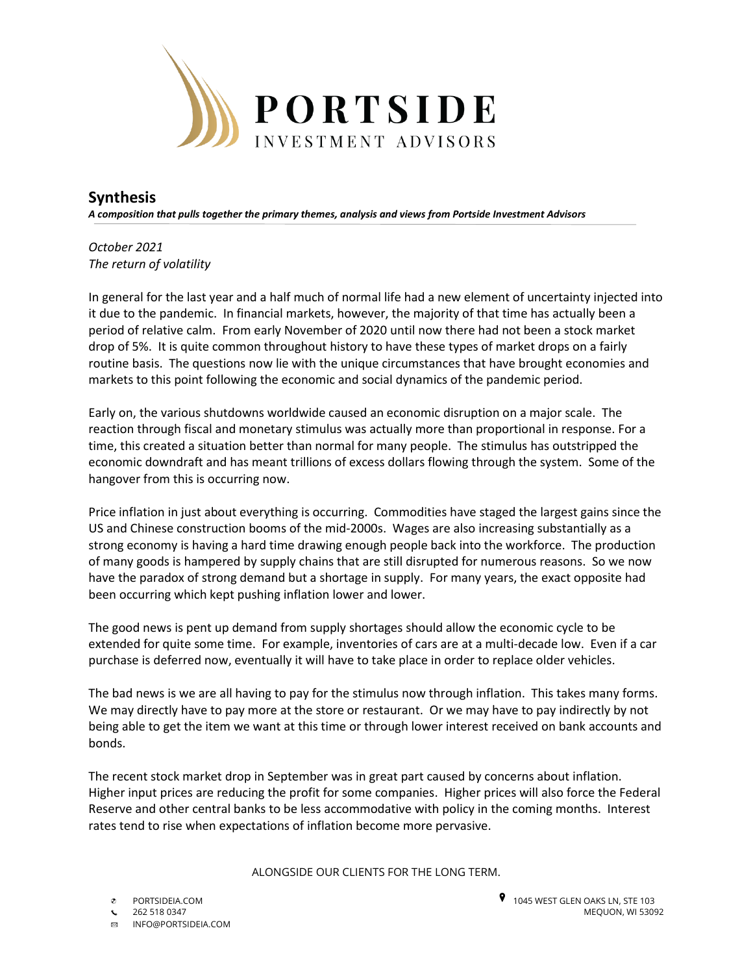

## **Synthesis**

*A composition that pulls together the primary themes, analysis and views from Portside Investment Advisors*

*October 2021 The return of volatility*

In general for the last year and a half much of normal life had a new element of uncertainty injected into it due to the pandemic. In financial markets, however, the majority of that time has actually been a period of relative calm. From early November of 2020 until now there had not been a stock market drop of 5%. It is quite common throughout history to have these types of market drops on a fairly routine basis. The questions now lie with the unique circumstances that have brought economies and markets to this point following the economic and social dynamics of the pandemic period.

Early on, the various shutdowns worldwide caused an economic disruption on a major scale. The reaction through fiscal and monetary stimulus was actually more than proportional in response. For a time, this created a situation better than normal for many people. The stimulus has outstripped the economic downdraft and has meant trillions of excess dollars flowing through the system. Some of the hangover from this is occurring now.

Price inflation in just about everything is occurring. Commodities have staged the largest gains since the US and Chinese construction booms of the mid-2000s. Wages are also increasing substantially as a strong economy is having a hard time drawing enough people back into the workforce. The production of many goods is hampered by supply chains that are still disrupted for numerous reasons. So we now have the paradox of strong demand but a shortage in supply. For many years, the exact opposite had been occurring which kept pushing inflation lower and lower.

The good news is pent up demand from supply shortages should allow the economic cycle to be extended for quite some time. For example, inventories of cars are at a multi-decade low. Even if a car purchase is deferred now, eventually it will have to take place in order to replace older vehicles.

The bad news is we are all having to pay for the stimulus now through inflation. This takes many forms. We may directly have to pay more at the store or restaurant. Or we may have to pay indirectly by not being able to get the item we want at this time or through lower interest received on bank accounts and bonds.

The recent stock market drop in September was in great part caused by concerns about inflation. Higher input prices are reducing the profit for some companies. Higher prices will also force the Federal Reserve and other central banks to be less accommodative with policy in the coming months. Interest rates tend to rise when expectations of inflation become more pervasive.

ALONGSIDE OUR CLIENTS FOR THE LONG TERM.

**<b>ES** INFO@PORTSIDEIA.COM